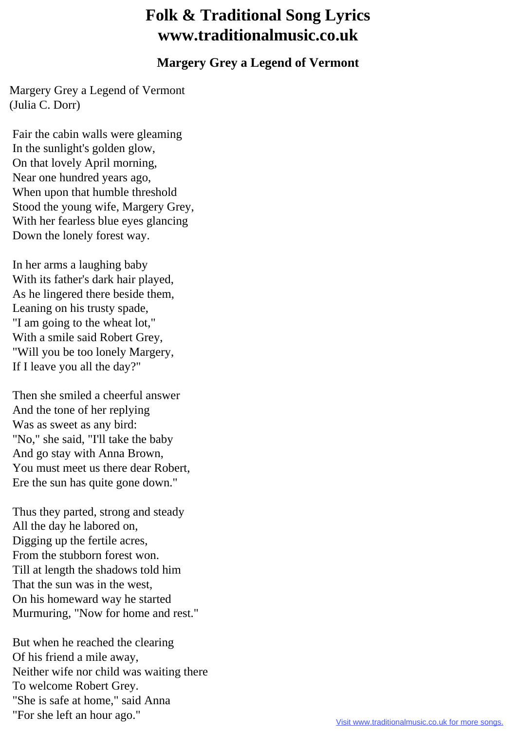## **Folk & Traditional Song Lyrics www.traditionalmusic.co.uk**

## **Margery Grey a Legend of Vermont**

Margery Grey a Legend of Vermont (Julia C. Dorr)

 Fair the cabin walls were gleaming In the sunlight's golden glow, On that lovely April morning, Near one hundred years ago, When upon that humble threshold Stood the young wife, Margery Grey, With her fearless blue eyes glancing Down the lonely forest way.

 In her arms a laughing baby With its father's dark hair played, As he lingered there beside them, Leaning on his trusty spade, "I am going to the wheat lot," With a smile said Robert Grey, "Will you be too lonely Margery, If I leave you all the day?"

 Then she smiled a cheerful answer And the tone of her replying Was as sweet as any bird: "No," she said, "I'll take the baby And go stay with Anna Brown, You must meet us there dear Robert, Ere the sun has quite gone down."

 Thus they parted, strong and steady All the day he labored on, Digging up the fertile acres, From the stubborn forest won. Till at length the shadows told him That the sun was in the west, On his homeward way he started Murmuring, "Now for home and rest."

 But when he reached the clearing Of his friend a mile away, Neither wife nor child was waiting there To welcome Robert Grey. "She is safe at home," said Anna "For she left an hour ago."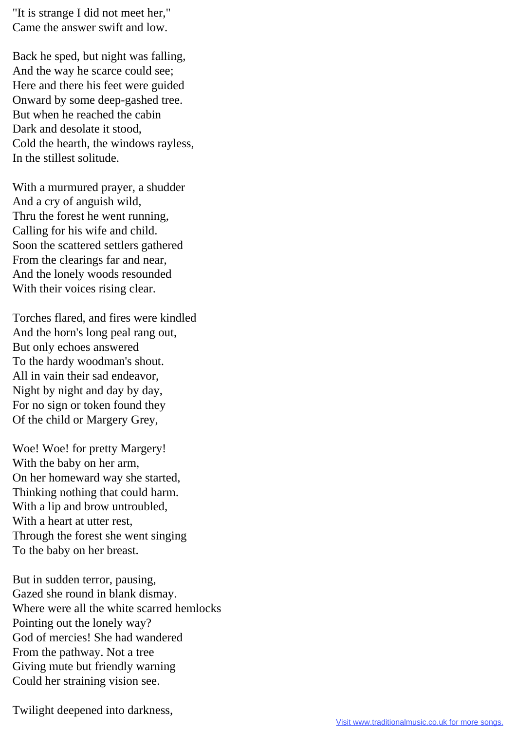"It is strange I did not meet her," Came the answer swift and low.

 Back he sped, but night was falling, And the way he scarce could see; Here and there his feet were guided Onward by some deep-gashed tree. But when he reached the cabin Dark and desolate it stood, Cold the hearth, the windows rayless, In the stillest solitude.

 With a murmured prayer, a shudder And a cry of anguish wild, Thru the forest he went running, Calling for his wife and child. Soon the scattered settlers gathered From the clearings far and near, And the lonely woods resounded With their voices rising clear.

 Torches flared, and fires were kindled And the horn's long peal rang out, But only echoes answered To the hardy woodman's shout. All in vain their sad endeavor, Night by night and day by day, For no sign or token found they Of the child or Margery Grey,

 Woe! Woe! for pretty Margery! With the baby on her arm, On her homeward way she started, Thinking nothing that could harm. With a lip and brow untroubled, With a heart at utter rest, Through the forest she went singing To the baby on her breast.

 But in sudden terror, pausing, Gazed she round in blank dismay. Where were all the white scarred hemlocks Pointing out the lonely way? God of mercies! She had wandered From the pathway. Not a tree Giving mute but friendly warning Could her straining vision see.

Twilight deepened into darkness,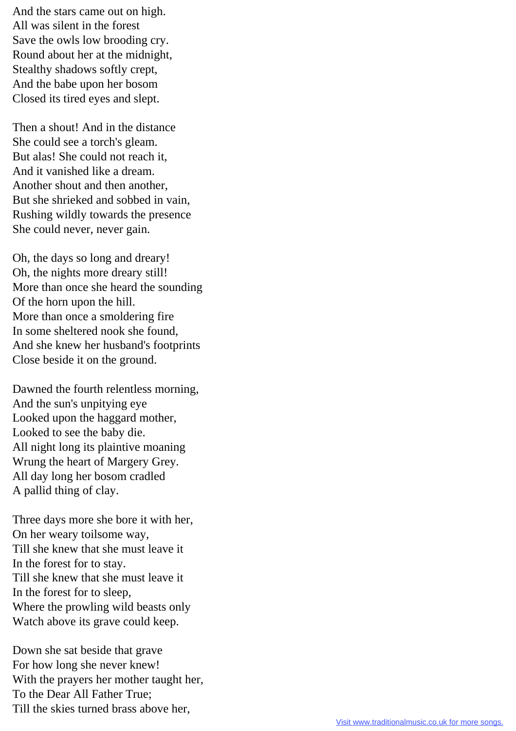And the stars came out on high. All was silent in the forest Save the owls low brooding cry. Round about her at the midnight, Stealthy shadows softly crept, And the babe upon her bosom Closed its tired eyes and slept.

 Then a shout! And in the distance She could see a torch's gleam. But alas! She could not reach it, And it vanished like a dream. Another shout and then another, But she shrieked and sobbed in vain, Rushing wildly towards the presence She could never, never gain.

 Oh, the days so long and dreary! Oh, the nights more dreary still! More than once she heard the sounding Of the horn upon the hill. More than once a smoldering fire In some sheltered nook she found, And she knew her husband's footprints Close beside it on the ground.

 Dawned the fourth relentless morning, And the sun's unpitying eye Looked upon the haggard mother, Looked to see the baby die. All night long its plaintive moaning Wrung the heart of Margery Grey. All day long her bosom cradled A pallid thing of clay.

 Three days more she bore it with her, On her weary toilsome way, Till she knew that she must leave it In the forest for to stay. Till she knew that she must leave it In the forest for to sleep, Where the prowling wild beasts only Watch above its grave could keep.

 Down she sat beside that grave For how long she never knew! With the prayers her mother taught her, To the Dear All Father True; Till the skies turned brass above her,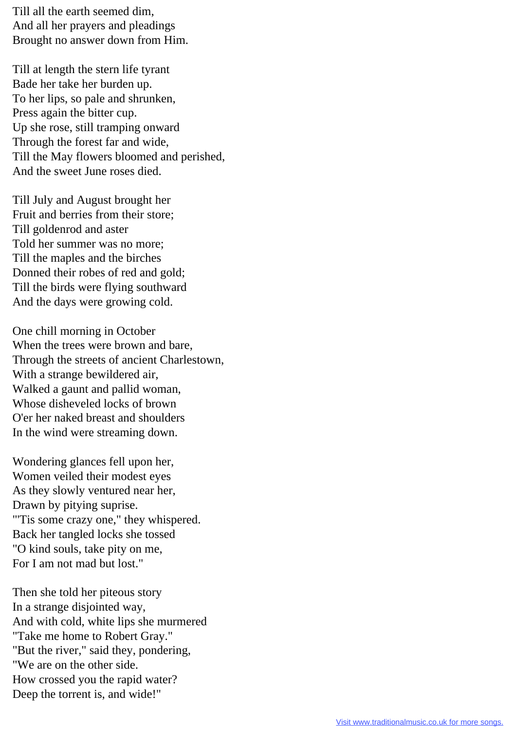Till all the earth seemed dim, And all her prayers and pleadings Brought no answer down from Him.

 Till at length the stern life tyrant Bade her take her burden up. To her lips, so pale and shrunken, Press again the bitter cup. Up she rose, still tramping onward Through the forest far and wide, Till the May flowers bloomed and perished, And the sweet June roses died.

 Till July and August brought her Fruit and berries from their store; Till goldenrod and aster Told her summer was no more; Till the maples and the birches Donned their robes of red and gold; Till the birds were flying southward And the days were growing cold.

 One chill morning in October When the trees were brown and bare, Through the streets of ancient Charlestown, With a strange bewildered air, Walked a gaunt and pallid woman, Whose disheveled locks of brown O'er her naked breast and shoulders In the wind were streaming down.

 Wondering glances fell upon her, Women veiled their modest eyes As they slowly ventured near her, Drawn by pitying suprise. "'Tis some crazy one," they whispered. Back her tangled locks she tossed "O kind souls, take pity on me, For I am not mad but lost."

 Then she told her piteous story In a strange disjointed way, And with cold, white lips she murmered "Take me home to Robert Gray." "But the river," said they, pondering, "We are on the other side. How crossed you the rapid water? Deep the torrent is, and wide!"